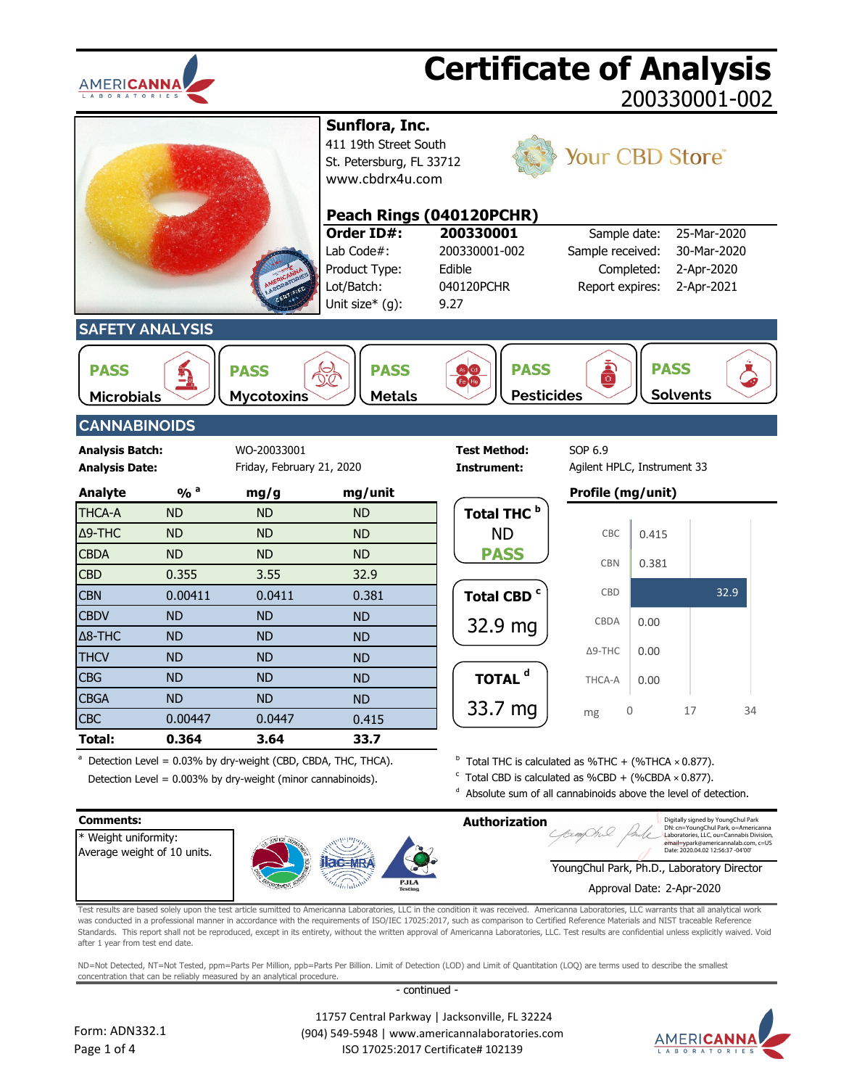



Detection Level =  $0.003\%$  by dry-weight (minor cannabinoids).

 $\textdegree$  Total CBD is calculated as %CBD + (%CBDA  $\times$  0.877).

 $d$  Absolute sum of all cannabinoids above the level of detection.



Test results are based solely upon the test article sumitted to Americanna Laboratories, LLC in the condition it was received. Americanna Laboratories, LLC warrants that all analytical work was conducted in a professional manner in accordance with the requirements of ISO/IEC 17025:2017, such as comparison to Certified Reference Materials and NIST traceable Reference Standards. This report shall not be reproduced, except in its entirety, without the written approval of Americanna Laboratories, LLC. Test results are confidential unless explicitly waived. Void after 1 year from test end date.

ND=Not Detected, NT=Not Tested, ppm=Parts Per Million, ppb=Parts Per Billion. Limit of Detection (LOD) and Limit of Quantitation (LOQ) are terms used to describe the smallest concentration that can be reliably measured by an analytical procedure.

- continued -



 11757 Central Parkway | Jacksonville, FL 32224 (904) 549-5948 | www.americannalaboratories.com ISO 17025:2017 Certificate# 102139

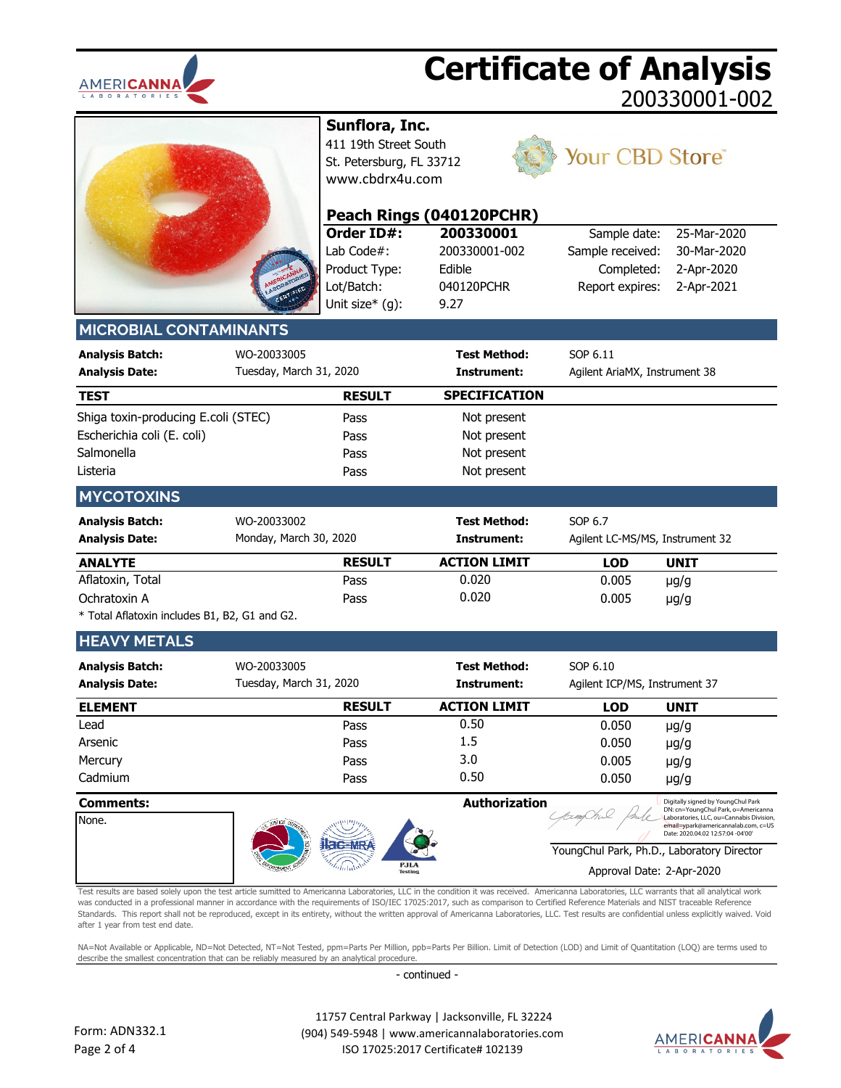



**Sunflora, Inc.**

**Order ID#:**

411 19th Street South St. Petersburg, FL 33712 [www.cbdrx4u.com](http://www.cbdrx4u.com/)

**Peach Rings (040120PCHR)**



## Your CBD Store®

|                                                                                             |                                        | Order ID#:<br>Lab Code $#$ :<br>Product Type:<br>Lot/Batch:<br>Unit size* (g): | 200330001<br>200330001-002<br>Edible<br>040120PCHR<br>9.27 | Sample date:<br>Sample received:<br>Completed:<br>Report expires: | 25-Mar-2020<br>30-Mar-2020<br>2-Apr-2020<br>2-Apr-2021 |
|---------------------------------------------------------------------------------------------|----------------------------------------|--------------------------------------------------------------------------------|------------------------------------------------------------|-------------------------------------------------------------------|--------------------------------------------------------|
| <b>MICROBIAL CONTAMINANTS</b>                                                               |                                        |                                                                                |                                                            |                                                                   |                                                        |
| <b>Analysis Batch:</b><br><b>Analysis Date:</b>                                             | WO-20033005<br>Tuesday, March 31, 2020 |                                                                                | <b>Test Method:</b><br>Instrument:                         | SOP 6.11<br>Agilent AriaMX, Instrument 38                         |                                                        |
| <b>TEST</b>                                                                                 |                                        | <b>RESULT</b>                                                                  | <b>SPECIFICATION</b>                                       |                                                                   |                                                        |
| Shiga toxin-producing E.coli (STEC)<br>Escherichia coli (E. coli)<br>Salmonella<br>Listeria |                                        | Pass<br>Pass<br>Pass<br>Pass                                                   | Not present<br>Not present<br>Not present<br>Not present   |                                                                   |                                                        |
| <b>MYCOTOXINS</b>                                                                           |                                        |                                                                                |                                                            |                                                                   |                                                        |
| <b>Analysis Batch:</b><br><b>Analysis Date:</b>                                             | WO-20033002<br>Monday, March 30, 2020  |                                                                                | <b>Test Method:</b><br>Instrument:                         | SOP 6.7<br>Agilent LC-MS/MS, Instrument 32                        |                                                        |
| <b>ANALYTE</b>                                                                              |                                        | <b>RESULT</b>                                                                  | <b>ACTION LIMIT</b>                                        | <b>LOD</b>                                                        | <b>UNIT</b>                                            |
| Aflatoxin, Total<br>Ochratoxin A<br>* Total Aflatoxin includes B1, B2, G1 and G2.           |                                        | Pass<br>Pass                                                                   | 0.020<br>0.020                                             | 0.005<br>0.005                                                    | $\mu$ g/g<br>$\mu$ g/g                                 |
| <b>HEAVY METALS</b>                                                                         |                                        |                                                                                |                                                            |                                                                   |                                                        |
| <b>Analysis Batch:</b><br><b>Analysis Date:</b>                                             | WO-20033005<br>Tuesday, March 31, 2020 |                                                                                | <b>Test Method:</b><br>Instrument:                         | SOP 6.10<br>Agilent ICP/MS, Instrument 37                         |                                                        |
| <b>ELEMENT</b>                                                                              |                                        | <b>RESULT</b>                                                                  | <b>ACTION LIMIT</b>                                        | <b>LOD</b>                                                        | <b>UNIT</b>                                            |
| Lead                                                                                        |                                        | Pass                                                                           | 0.50                                                       | 0.050                                                             | $\mu$ g/g                                              |
| Arsenic                                                                                     |                                        | Pass                                                                           | 1.5                                                        | 0.050                                                             | $\mu$ g/g                                              |
| Mercury                                                                                     |                                        | Pass                                                                           | 3.0                                                        | 0.005                                                             | $\mu$ g/g                                              |

**Comments: Authorization** Digitally signed by YoungChul Park DN: cn=YoungChul Park, o=Americanna None. Laboratories, LLC, ou=Cannabis Division, email=ypark@americannalab.com, c=US Laboratories, LLC, UCL, 2001<br>| email=ypark@americannalab.com<br>| Date: 2020.04.02 12:57:04 -04'00' **ac=MR** YoungChul Park, Ph.D., Laboratory Director **PJLA** Approval Date: 2-Apr-2020

Cadmium 0.50

Pass 0.50 0.050 µg/g

Test results are based solely upon the test article sumitted to Americanna Laboratories, LLC in the condition it was received. Americanna Laboratories, LLC warrants that all analytical work was conducted in a professional manner in accordance with the requirements of ISO/IEC 17025:2017, such as comparison to Certified Reference Materials and NIST traceable Reference Standards. This report shall not be reproduced, except in its entirety, without the written approval of Americanna Laboratories, LLC. Test results are confidential unless explicitly waived. Void after 1 year from test end date.

NA=Not Available or Applicable, ND=Not Detected, NT=Not Tested, ppm=Parts Per Million, ppb=Parts Per Billion. Limit of Detection (LOD) and Limit of Quantitation (LOO) are terms used to describe the smallest concentration that can be reliably measured by an analytical procedure.

- continued -

 11757 Central Parkway | Jacksonville, FL 32224 (904) 549-5948 | www.americannalaboratories.com ISO 17025:2017 Certificate# 102139

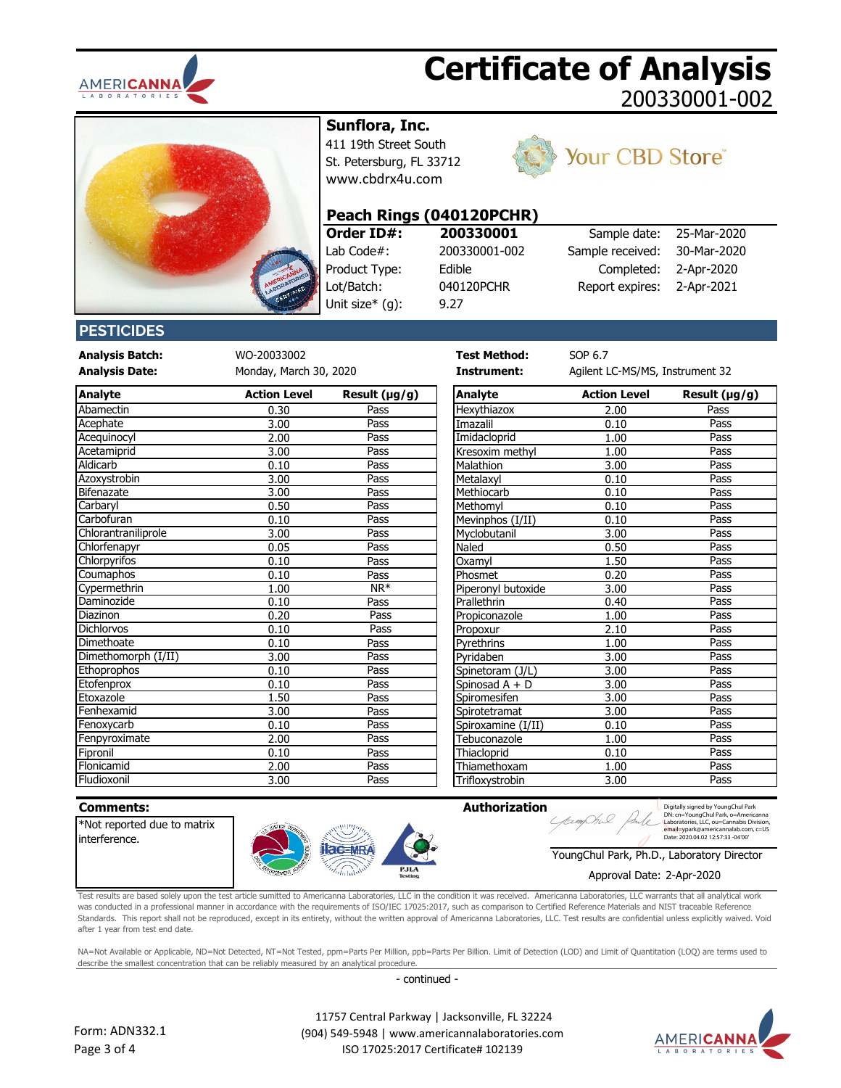



## **Sunflora, Inc.**

411 19th Street South St. Petersburg, FL 33712 [www.cbdrx4u.com](http://www.cbdrx4u.com/)



## Your CBD Store®

#### **Peach Rings (040120PCHR)**

9.27

**Order ID#:** Lab Code#: 200330001-002 Product Type: Edible Lot/Batch: 040120PCHR Unit size\* (g):

| 200330001     | Sample date:     | 25-Mar-2020 |
|---------------|------------------|-------------|
| 200330001-002 | Sample received: | 30-Mar-2020 |
| Edible        | Completed:       | 2-Apr-2020  |
| 040120PCHR    | Report expires:  | 2-Apr-2021  |
| ^ ^ ¬         |                  |             |

#### **PESTICIDES**

**Analysis Batch:** WO-20033002 **Test Method:** SOP 6.7

**Analysis Date: Instrument:** Agilent LC-MS/MS, Instrument 32 Monday, March 30, 2020

| <b>Analyte</b>      | <b>Action Level</b> | Result $(\mu g/g)$ | <b>Analyte</b>     | <b>Action Level</b> | Result (µg/g) |
|---------------------|---------------------|--------------------|--------------------|---------------------|---------------|
| Abamectin           | 0.30                | Pass               | Hexythiazox        | 2.00                | Pass          |
| <b>Acephate</b>     | 3.00                | Pass               | Imazalil           | 0.10                | Pass          |
| Acequinocyl         | 2.00                | Pass               | Imidacloprid       | 1.00                | Pass          |
| Acetamiprid         | 3.00                | Pass               | Kresoxim methyl    | 1.00                | Pass          |
| Aldicarb            | 0.10                | Pass               | Malathion          | 3.00                | Pass          |
| Azoxystrobin        | 3.00                | Pass               | Metalaxyl          | 0.10                | Pass          |
| Bifenazate          | 3.00                | Pass               | Methiocarb         | 0.10                | Pass          |
| Carbaryl            | 0.50                | Pass               | Methomyl           | 0.10                | Pass          |
| Carbofuran          | 0.10                | Pass               | Mevinphos (I/II)   | 0.10                | Pass          |
| Chlorantraniliprole | 3.00                | Pass               | Myclobutanil       | 3.00                | Pass          |
| Chlorfenapyr        | 0.05                | Pass               | Naled              | 0.50                | Pass          |
| <b>Chlorpyrifos</b> | 0.10                | Pass               | Oxamvl             | 1.50                | Pass          |
| Coumaphos           | 0.10                | Pass               | Phosmet            | 0.20                | Pass          |
| Cypermethrin        | 1.00                | $NR^*$             | Piperonyl butoxide | 3.00                | Pass          |
| Daminozide          | 0.10                | Pass               | Prallethrin        | 0.40                | Pass          |
| Diazinon            | 0.20                | Pass               | Propiconazole      | 1.00                | Pass          |
| Dichlorvos          | 0.10                | Pass               | Propoxur           | 2.10                | Pass          |
| Dimethoate          | 0.10                | Pass               | Pyrethrins         | 1.00                | Pass          |
| Dimethomorph (I/II) | 3.00                | Pass               | Pvridaben          | 3.00                | Pass          |
| Ethoprophos         | 0.10                | Pass               | Spinetoram (J/L)   | 3.00                | Pass          |
| Etofenprox          | 0.10                | Pass               | Spinosad A + D     | 3.00                | Pass          |
| Etoxazole           | 1.50                | Pass               | Spiromesifen       | 3.00                | Pass          |
| Fenhexamid          | 3.00                | Pass               | Spirotetramat      | 3.00                | Pass          |
| Fenoxycarb          | 0.10                | Pass               | Spiroxamine (I/II) | 0.10                | Pass          |
| Fenpyroximate       | 2.00                | Pass               | Tebuconazole       | 1.00                | Pass          |
| Fipronil            | 0.10                | Pass               | Thiacloprid        | 0.10                | Pass          |
| Flonicamid          | 2.00                | Pass               | Thiamethoxam       | 1.00                | Pass          |
| Fludiovonil         | 3 UU                | <b>Pacc</b>        | Triflovvctrobin    | 3 UU                | <b>Pacc</b>   |

| Analyte             | <b>Action Level</b> | Result $(\mu g/g)$      | Analyte            | <b>Action Level</b> | Result $(\mu g/g)$ |
|---------------------|---------------------|-------------------------|--------------------|---------------------|--------------------|
| Abamectin           | 0.30                | Pass                    | Hexythiazox        | 2.00                | Pass               |
| Acephate            | 3.00                | Pass                    | Imazalil           | 0.10                | Pass               |
| Acequinocyl         | 2.00                | Pass                    | Imidacloprid       | 1.00                | Pass               |
| Acetamiprid         | 3.00                | Pass                    | Kresoxim methyl    | 1.00                | Pass               |
| Aldicarb            | 0.10                | Pass                    | Malathion          | 3.00                | Pass               |
| Azoxystrobin        | 3.00                | Pass                    | Metalaxyl          | 0.10                | Pass               |
| <b>Bifenazate</b>   | 3.00                | Pass                    | Methiocarb         | 0.10                | Pass               |
| Carbaryl            | 0.50                | Pass                    | Methomyl           | 0.10                | Pass               |
| Carbofuran          | 0.10                | Pass                    | Mevinphos (I/II)   | 0.10                | Pass               |
| Chlorantraniliprole | 3.00                | Pass                    | Myclobutanil       | 3.00                | Pass               |
| Chlorfenapyr        | 0.05                | Pass                    | Naled              | 0.50                | Pass               |
| Chlorpyrifos        | 0.10                | Pass                    | Oxamvl             | 1.50                | Pass               |
| Coumaphos           | 0.10                | Pass                    | Phosmet            | 0.20                | Pass               |
| Cypermethrin        | 1.00                | $\overline{\text{NR*}}$ | Piperonyl butoxide | 3.00                | Pass               |
| Daminozide          | 0.10                | Pass                    | Prallethrin        | 0.40                | Pass               |
| Diazinon            | 0.20                | Pass                    | Propiconazole      | 1.00                | Pass               |
| Dichlorvos          | 0.10                | Pass                    | Propoxur           | 2.10                | Pass               |
| Dimethoate          | 0.10                | Pass                    | Pyrethrins         | 1.00                | Pass               |
| Dimethomorph (I/II) | 3.00                | Pass                    | Pyridaben          | 3.00                | Pass               |
| Ethoprophos         | 0.10                | Pass                    | Spinetoram (J/L)   | 3.00                | Pass               |
| Etofenprox          | 0.10                | Pass                    | Spinosad $A + D$   | 3.00                | Pass               |
| Etoxazole           | 1.50                | Pass                    | Spiromesifen       | 3.00                | Pass               |
| Fenhexamid          | 3.00                | Pass                    | Spirotetramat      | 3.00                | Pass               |
| Fenoxycarb          | 0.10                | Pass                    | Spiroxamine (I/II) | 0.10                | Pass               |
| Fenpyroximate       | 2.00                | Pass                    | Tebuconazole       | 1.00                | Pass               |
| Fipronil            | 0.10                | Pass                    | Thiacloprid        | 0.10                | Pass               |
| Flonicamid          | 2.00                | Pass                    | Thiamethoxam       | 1.00                | Pass               |
| Fludioxonil         | 3.00                | Pass                    | Trifloxystrobin    | 3.00                | Pass               |

| <b>Comments:</b>           |                 |                               | <b>Authorization</b><br>Digitally signed by YoungChul Park<br>DN: cn=YoungChul Park, o=Americanna |
|----------------------------|-----------------|-------------------------------|---------------------------------------------------------------------------------------------------|
| Not reported due to matrix |                 |                               | Laboratories, LLC, ou=Cannabis Division<br>email=vpark@americannalab.com. c=US                    |
| interference.              |                 |                               | Date: 2020.04.02 12:57:33 -04'00'                                                                 |
|                            |                 |                               | YoungChul Park, Ph.D., Laboratory Director                                                        |
|                            | <b>CRCEMENT</b> | <b>PJLA</b><br><b>Testing</b> | Approval Date: 2-Apr-2020                                                                         |

Test results are based solely upon the test article sumitted to Americanna Laboratories, LLC in the condition it was received. Americanna Laboratories, LLC warrants that all analytical work was conducted in a professional manner in accordance with the requirements of ISO/IEC 17025:2017, such as comparison to Certified Reference Materials and NIST traceable Reference Standards. This report shall not be reproduced, except in its entirety, without the written approval of Americanna Laboratories, LLC. Test results are confidential unless explicitly waived. Void after 1 year from test end date.

NA=Not Available or Applicable, ND=Not Detected, NT=Not Tested, ppm=Parts Per Million, ppb=Parts Per Billion. Limit of Detection (LOD) and Limit of Quantitation (LOQ) are terms used to describe the smallest concentration that can be reliably measured by an analytical procedure.

- continued -



 11757 Central Parkway | Jacksonville, FL 32224 (904) 549-5948 | www.americannalaboratories.com ISO 17025:2017 Certificate# 102139